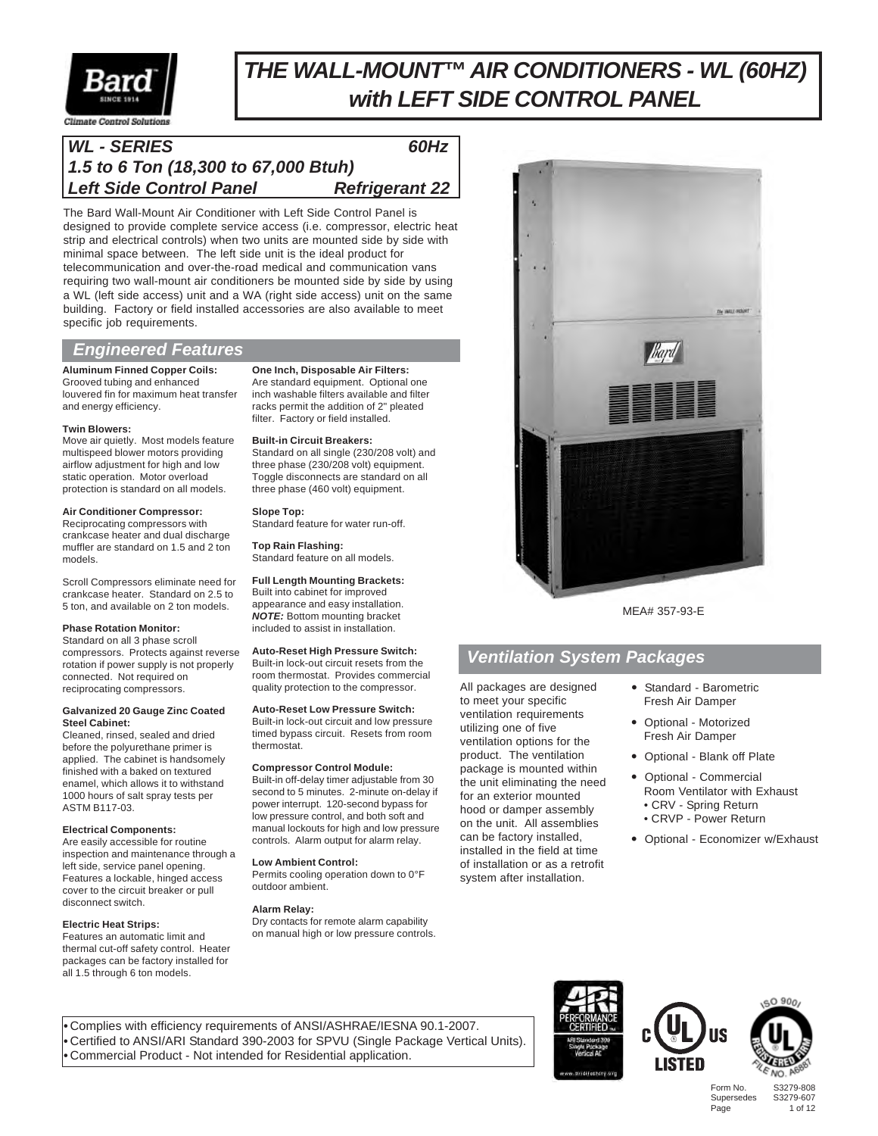

# *THE WALL-MOUNT™ AIR CONDITIONERS - WL (60HZ) with LEFT SIDE CONTROL PANEL*

### Climate Control Solution

# *WL - SERIES 60Hz 1.5 to 6 Ton (18,300 to 67,000 Btuh)* **Left Side Control Panel Figure Refrigerant 22**

The Bard Wall-Mount Air Conditioner with Left Side Control Panel is designed to provide complete service access (i.e. compressor, electric heat strip and electrical controls) when two units are mounted side by side with minimal space between. The left side unit is the ideal product for telecommunication and over-the-road medical and communication vans requiring two wall-mount air conditioners be mounted side by side by using a WL (left side access) unit and a WA (right side access) unit on the same building. Factory or field installed accessories are also available to meet specific job requirements.

### *Engineered Features*

### **Aluminum Finned Copper Coils:** Grooved tubing and enhanced

louvered fin for maximum heat transfer and energy efficiency.

### **Twin Blowers:**

Move air quietly. Most models feature multispeed blower motors providing airflow adjustment for high and low static operation. Motor overload protection is standard on all models.

### **Air Conditioner Compressor:**

Reciprocating compressors with crankcase heater and dual discharge muffler are standard on 1.5 and 2 ton models.

Scroll Compressors eliminate need for crankcase heater. Standard on 2.5 to 5 ton, and available on 2 ton models.

### **Phase Rotation Monitor:**

Standard on all 3 phase scroll compressors. Protects against reverse rotation if power supply is not properly connected. Not required on reciprocating compressors.

#### **Galvanized 20 Gauge Zinc Coated Steel Cabinet:**

Cleaned, rinsed, sealed and dried before the polyurethane primer is applied. The cabinet is handsomely finished with a baked on textured enamel, which allows it to withstand 1000 hours of salt spray tests per ASTM B117-03.

### **Electrical Components:**

Are easily accessible for routine inspection and maintenance through a left side, service panel opening. Features a lockable, hinged access cover to the circuit breaker or pull disconnect switch.

### **Electric Heat Strips:**

Features an automatic limit and thermal cut-off safety control. Heater packages can be factory installed for all 1.5 through 6 ton models.

**One Inch, Disposable Air Filters:** Are standard equipment. Optional one inch washable filters available and filter racks permit the addition of 2" pleated filter. Factory or field installed.

### **Built-in Circuit Breakers:**

Standard on all single (230/208 volt) and three phase (230/208 volt) equipment. Toggle disconnects are standard on all three phase (460 volt) equipment.

### **Slope Top:**

Standard feature for water run-off.

**Top Rain Flashing:** Standard feature on all models.

### **Full Length Mounting Brackets:**

Built into cabinet for improved appearance and easy installation. *NOTE:* Bottom mounting bracket included to assist in installation.

### **Auto-Reset High Pressure Switch:**

Built-in lock-out circuit resets from the room thermostat. Provides commercial quality protection to the compressor.

### **Auto-Reset Low Pressure Switch:**

Built-in lock-out circuit and low pressure timed bypass circuit. Resets from room thermostat.

#### **Compressor Control Module:**

Built-in off-delay timer adjustable from 30 second to 5 minutes. 2-minute on-delay if power interrupt. 120-second bypass for low pressure control, and both soft and manual lockouts for high and low pressure controls. Alarm output for alarm relay.

### **Low Ambient Control:**

Permits cooling operation down to 0°F outdoor ambient.

### **Alarm Relay:**

Dry contacts for remote alarm capability on manual high or low pressure controls.



MEA# 357-93-E

### *Ventilation System Packages*

All packages are designed to meet your specific ventilation requirements utilizing one of five ventilation options for the product. The ventilation package is mounted within the unit eliminating the need for an exterior mounted hood or damper assembly on the unit. All assemblies can be factory installed, installed in the field at time of installation or as a retrofit system after installation.

- Standard Barometric Fresh Air Damper
- Optional Motorized Fresh Air Damper
- Optional Blank off Plate
- Optional Commercial Room Ventilator with Exhaust • CRV - Spring Return • CRVP - Power Return
	-
- Optional Economizer w/Exhaust

**•** Complies with efficiency requirements of ANSI/ASHRAE/IESNA 90.1-2007. **•** Certified to ANSI/ARI Standard 390-2003 for SPVU (Single Package Vertical Units). **•** Commercial Product - Not intended for Residential application.





Form No. S3279-808 Supersedes<br>Page

1 of 12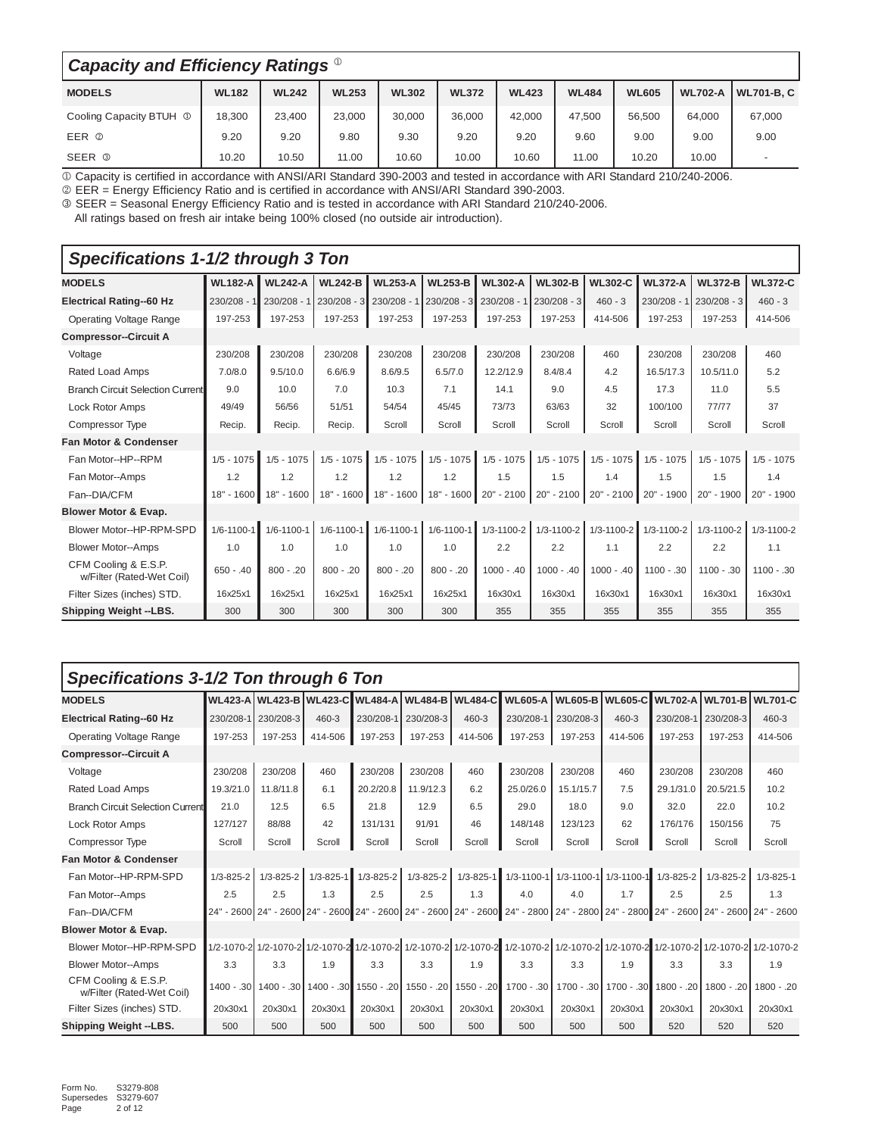| Capacity and Efficiency Ratings <sup>®</sup> |              |              |              |              |              |              |              |              |                |                          |  |  |
|----------------------------------------------|--------------|--------------|--------------|--------------|--------------|--------------|--------------|--------------|----------------|--------------------------|--|--|
| <b>MODELS</b>                                | <b>WL182</b> | <b>WL242</b> | <b>WL253</b> | <b>WL302</b> | <b>WL372</b> | <b>WL423</b> | <b>WL484</b> | <b>WL605</b> | <b>WL702-A</b> | <b>WL701-B.C</b>         |  |  |
| Cooling Capacity BTUH <sup>1</sup>           | 18,300       | 23,400       | 23,000       | 30.000       | 36.000       | 42,000       | 47.500       | 56.500       | 64,000         | 67,000                   |  |  |
| EER 2                                        | 9.20         | 9.20         | 9.80         | 9.30         | 9.20         | 9.20         | 9.60         | 9.00         | 9.00           | 9.00                     |  |  |
| SEER <sup>3</sup>                            | 10.20        | 10.50        | 11.00        | 10.60        | 10.00        | 10.60        | 11.00        | 10.20        | 10.00          | $\overline{\phantom{a}}$ |  |  |

1 Capacity is certified in accordance with ANSI/ARI Standard 390-2003 and tested in accordance with ARI Standard 210/240-2006.

2 EER = Energy Efficiency Ratio and is certified in accordance with ANSI/ARI Standard 390-2003.

3 SEER = Seasonal Energy Efficiency Ratio and is tested in accordance with ARI Standard 210/240-2006.

All ratings based on fresh air intake being 100% closed (no outside air introduction).

| Specifications 1-1/2 through 3 Ton                |                  |                  |                  |                |                  |                  |                  |                |                  |                  |                |
|---------------------------------------------------|------------------|------------------|------------------|----------------|------------------|------------------|------------------|----------------|------------------|------------------|----------------|
| <b>MODELS</b>                                     | <b>WL182-A</b>   | <b>WL242-A</b>   | <b>WL242-B</b>   | <b>WL253-A</b> | <b>WL253-B</b>   | <b>WL302-A</b>   | <b>WL302-B</b>   | <b>WL302-C</b> | <b>WL372-A</b>   | <b>WL372-B</b>   | <b>WL372-C</b> |
| <b>Electrical Rating-60 Hz</b>                    | $230/208 - 1$    | 230/208 - 1      | $230/208 - 3$    | $230/208 - 1$  | $ 230/208 - 3 $  | $230/208 - 1$    | $230/208 - 3$    | $460 - 3$      | $230/208 - 1$    | $230/208 - 3$    | $460 - 3$      |
| Operating Voltage Range                           | 197-253          | 197-253          | 197-253          | 197-253        | 197-253          | 197-253          | 197-253          | 414-506        | 197-253          | 197-253          | 414-506        |
| <b>Compressor--Circuit A</b>                      |                  |                  |                  |                |                  |                  |                  |                |                  |                  |                |
| Voltage                                           | 230/208          | 230/208          | 230/208          | 230/208        | 230/208          | 230/208          | 230/208          | 460            | 230/208          | 230/208          | 460            |
| Rated Load Amps                                   | 7.0/8.0          | 9.5/10.0         | 6.6/6.9          | 8.6/9.5        | 6.5/7.0          | 12.2/12.9        | 8.4/8.4          | 4.2            | 16.5/17.3        | 10.5/11.0        | 5.2            |
| <b>Branch Circuit Selection Current</b>           | 9.0              | 10.0             | 7.0              | 10.3           | 7.1              | 14.1             | 9.0              | 4.5            | 17.3             | 11.0             | 5.5            |
| Lock Rotor Amps                                   | 49/49            | 56/56            | 51/51            | 54/54          | 45/45            | 73/73            | 63/63            | 32             | 100/100          | 77/77            | 37             |
| Compressor Type                                   | Recip.           | Recip.           | Recip.           | Scroll         | Scroll           | Scroll           | Scroll           | Scroll         | Scroll           | Scroll           | Scroll         |
| <b>Fan Motor &amp; Condenser</b>                  |                  |                  |                  |                |                  |                  |                  |                |                  |                  |                |
| Fan Motor--HP--RPM                                | $1/5 - 1075$     | $1/5 - 1075$     | $1/5 - 1075$     | $1/5 - 1075$   | $1/5 - 1075$     | $1/5 - 1075$     | $1/5 - 1075$     | $1/5 - 1075$   | $1/5 - 1075$     | $1/5 - 1075$     | $1/5 - 1075$   |
| Fan Motor--Amps                                   | 1.2              | 1.2              | 1.2              | 1.2            | 1.2              | 1.5              | 1.5              | 1.4            | 1.5              | 1.5              | 1.4            |
| Fan--DIA/CFM                                      | $18" - 1600$     | 18" - 1600       | 18" - 1600       | 18" - 1600     | 18" - 1600       | 20" - 2100       | 20" - 2100       | 20" - 2100     | 20" - 1900       | 20" - 1900       | 20" - 1900     |
| <b>Blower Motor &amp; Evap.</b>                   |                  |                  |                  |                |                  |                  |                  |                |                  |                  |                |
| Blower Motor--HP-RPM-SPD                          | $1/6 - 1100 - 1$ | $1/6 - 1100 - 1$ | $1/6 - 1100 - 1$ | 1/6-1100-1     | $1/6 - 1100 - 1$ | $1/3 - 1100 - 2$ | $1/3 - 1100 - 2$ | 1/3-1100-2     | $1/3 - 1100 - 2$ | $1/3 - 1100 - 2$ | 1/3-1100-2     |
| <b>Blower Motor--Amps</b>                         | 1.0              | 1.0              | 1.0              | 1.0            | 1.0              | 2.2              | 2.2              | 1.1            | 2.2              | 2.2              | 1.1            |
| CFM Cooling & E.S.P.<br>w/Filter (Rated-Wet Coil) | $650 - .40$      | $800 - .20$      | $800 - .20$      | $800 - 20$     | $800 - 0.20$     | $1000 - .40$     | $1000 - 0.40$    | $1000 - .40$   | $1100 - .30$     | $1100 - .30$     | $1100 - .30$   |
| Filter Sizes (inches) STD.                        | 16x25x1          | 16x25x1          | 16x25x1          | 16x25x1        | 16x25x1          | 16x30x1          | 16x30x1          | 16x30x1        | 16x30x1          | 16x30x1          | 16x30x1        |
| Shipping Weight --LBS.                            | 300              | 300              | 300              | 300            | 300              | 355              | 355              | 355            | 355              | 355              | 355            |

### *Specifications 3-1/2 Ton through 6 Ton*

| <b>MODELS</b>                                     |                 |                     |                 |                 | WL423-A   WL423-B   WL423-C    WL484-A   WL484-B   WL484-C |                                                        | <b>WL605-A</b>                                                                                                                                                       |           | WL605-C    WL702-A    WL701-B    WL701-C |                 |                 |                 |
|---------------------------------------------------|-----------------|---------------------|-----------------|-----------------|------------------------------------------------------------|--------------------------------------------------------|----------------------------------------------------------------------------------------------------------------------------------------------------------------------|-----------|------------------------------------------|-----------------|-----------------|-----------------|
| <b>Electrical Rating-60 Hz</b>                    |                 | 230/208-1 230/208-3 | 460-3           | 230/208-1       | 230/208-3                                                  | 460-3                                                  | 230/208-1                                                                                                                                                            | 230/208-3 | 460-3                                    | 230/208-1       | 230/208-3       | 460-3           |
| <b>Operating Voltage Range</b>                    | 197-253         | 197-253             | 414-506         | 197-253         | 197-253                                                    | 414-506                                                | 197-253                                                                                                                                                              | 197-253   | 414-506                                  | 197-253         | 197-253         | 414-506         |
| <b>Compressor--Circuit A</b>                      |                 |                     |                 |                 |                                                            |                                                        |                                                                                                                                                                      |           |                                          |                 |                 |                 |
| Voltage                                           | 230/208         | 230/208             | 460             | 230/208         | 230/208                                                    | 460                                                    | 230/208                                                                                                                                                              | 230/208   | 460                                      | 230/208         | 230/208         | 460             |
| Rated Load Amps                                   | 19.3/21.0       | 11.8/11.8           | 6.1             | 20.2/20.8       | 11.9/12.3                                                  | 6.2                                                    | 25.0/26.0                                                                                                                                                            | 15.1/15.7 | 7.5                                      | 29.1/31.0       | 20.5/21.5       | 10.2            |
| <b>Branch Circuit Selection Current</b>           | 21.0            | 12.5                | 6.5             | 21.8            | 12.9                                                       | 6.5                                                    | 29.0                                                                                                                                                                 | 18.0      | 9.0                                      | 32.0            | 22.0            | 10.2            |
| Lock Rotor Amps                                   | 127/127         | 88/88               | 42              | 131/131         | 91/91                                                      | 46                                                     | 148/148                                                                                                                                                              | 123/123   | 62                                       | 176/176         | 150/156         | 75              |
| Compressor Type                                   | Scroll          | Scroll              | Scroll          | Scroll          | Scroll                                                     | Scroll                                                 | Scroll                                                                                                                                                               | Scroll    | Scroll                                   | Scroll          | Scroll          | Scroll          |
| <b>Fan Motor &amp; Condenser</b>                  |                 |                     |                 |                 |                                                            |                                                        |                                                                                                                                                                      |           |                                          |                 |                 |                 |
| Fan Motor--HP-RPM-SPD                             | $1/3 - 825 - 2$ | $1/3 - 825 - 2$     | $1/3 - 825 - 1$ | $1/3 - 825 - 2$ | $1/3 - 825 - 2$                                            |                                                        | 1/3-825-1 1/3-1100-1 1/3-1100-1 1/3-1100-1                                                                                                                           |           |                                          | $1/3 - 825 - 2$ | $1/3 - 825 - 2$ | $1/3 - 825 - 1$ |
| Fan Motor--Amps                                   | 2.5             | 2.5                 | 1.3             | 2.5             | 2.5                                                        | 1.3                                                    | 4.0                                                                                                                                                                  | 4.0       | 1.7                                      | 2.5             | 2.5             | 1.3             |
| Fan--DIA/CFM                                      |                 |                     |                 |                 |                                                            |                                                        | 24" - 2600 24" - 2600 24" - 2600 24" - 2600 24" - 2600 24" - 2600 24" - 2800 24" - 2800 24" - 2800 24" - 2800 24" - 2600 24" - 2600 24" - 2600 24" - 2600 24" - 2600 |           |                                          |                 |                 |                 |
| <b>Blower Motor &amp; Evap.</b>                   |                 |                     |                 |                 |                                                            |                                                        |                                                                                                                                                                      |           |                                          |                 |                 |                 |
| Blower Motor--HP-RPM-SPD                          |                 |                     |                 |                 |                                                            |                                                        | 1/2-1070-2 1/2-1070-2 1/2-1070-2 1/2-1070-2 1/2-1070-2 1/2-1070-2 1/2-1070-2 1/2-1070-2 1/2-1070-2 1/2-1070-2 1/2-1070-2 1/2-1070-2 1/2-1070-2                       |           |                                          |                 |                 |                 |
| <b>Blower Motor--Amps</b>                         | 3.3             | 3.3                 | 1.9             | 3.3             | 3.3                                                        | 1.9                                                    | 3.3                                                                                                                                                                  | 3.3       | 1.9                                      | 3.3             | 3.3             | 1.9             |
| CFM Cooling & E.S.P.<br>w/Filter (Rated-Wet Coil) | $1400 - .30$    |                     |                 |                 |                                                            | 1400 - .30 1400 - .30 1550 - .20 1550 - .20 1550 - .20 | 1700 - .30                                                                                                                                                           |           | 1700 - .30 1700 - .30                    | $1800 - 0.20$   | $1800 - 0.20$   | 1800 - .20      |
| Filter Sizes (inches) STD.                        | 20x30x1         | 20x30x1             | 20x30x1         | 20x30x1         | 20x30x1                                                    | 20x30x1                                                | 20x30x1                                                                                                                                                              | 20x30x1   | 20x30x1                                  | 20x30x1         | 20x30x1         | 20x30x1         |
| Shipping Weight --LBS.                            | 500             | 500                 | 500             | 500             | 500                                                        | 500                                                    | 500                                                                                                                                                                  | 500       | 500                                      | 520             | 520             | 520             |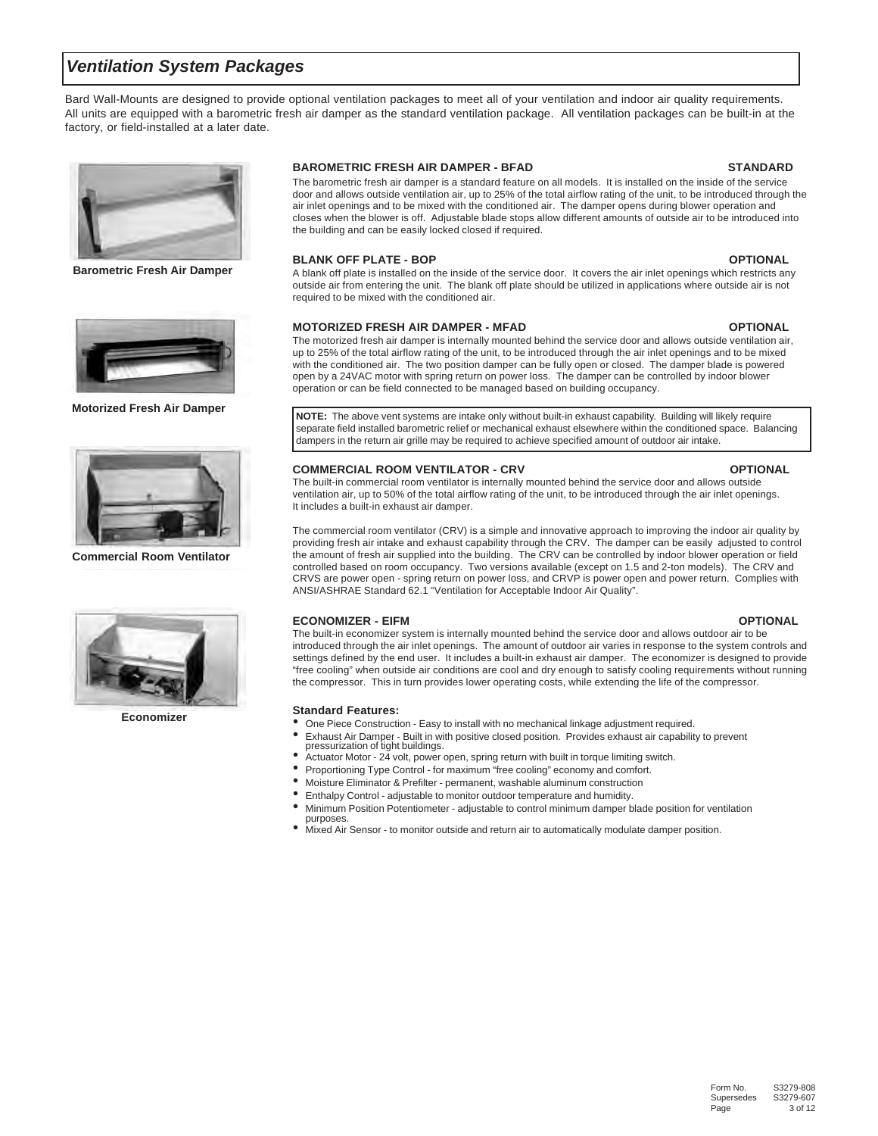### *Ventilation System Packages*

Bard Wall-Mounts are designed to provide optional ventilation packages to meet all of your ventilation and indoor air quality requirements. All units are equipped with a barometric fresh air damper as the standard ventilation package. All ventilation packages can be built-in at the factory, or field-installed at a later date.



**Barometric Fresh Air Damper**



**Motorized Fresh Air Damper**



**Commercial Room Ventilator**



**Economizer**

### **BAROMETRIC FRESH AIR DAMPER - BFAD STANDARD**

The barometric fresh air damper is a standard feature on all models. It is installed on the inside of the service door and allows outside ventilation air, up to 25% of the total airflow rating of the unit, to be introduced through the air inlet openings and to be mixed with the conditioned air. The damper opens during blower operation and closes when the blower is off. Adjustable blade stops allow different amounts of outside air to be introduced into the building and can be easily locked closed if required.

### **BLANK OFF PLATE - BOP OPTIONAL**

A blank off plate is installed on the inside of the service door. It covers the air inlet openings which restricts any outside air from entering the unit. The blank off plate should be utilized in applications where outside air is not required to be mixed with the conditioned air.

### **MOTORIZED FRESH AIR DAMPER - MFAD OPTIONAL**

The motorized fresh air damper is internally mounted behind the service door and allows outside ventilation air, up to 25% of the total airflow rating of the unit, to be introduced through the air inlet openings and to be mixed with the conditioned air. The two position damper can be fully open or closed. The damper blade is powered open by a 24VAC motor with spring return on power loss. The damper can be controlled by indoor blower operation or can be field connected to be managed based on building occupancy.

**NOTE:** The above vent systems are intake only without built-in exhaust capability. Building will likely require separate field installed barometric relief or mechanical exhaust elsewhere within the conditioned space. Balancing dampers in the return air grille may be required to achieve specified amount of outdoor air intake.

### **COMMERCIAL ROOM VENTILATOR - CRV COMMERCIAL ROOM VENTILATOR - CRV**

The built-in commercial room ventilator is internally mounted behind the service door and allows outside ventilation air, up to 50% of the total airflow rating of the unit, to be introduced through the air inlet openings. It includes a built-in exhaust air damper.

The commercial room ventilator (CRV) is a simple and innovative approach to improving the indoor air quality by providing fresh air intake and exhaust capability through the CRV. The damper can be easily adjusted to control the amount of fresh air supplied into the building. The CRV can be controlled by indoor blower operation or field controlled based on room occupancy. Two versions available (except on 1.5 and 2-ton models). The CRV and CRVS are power open - spring return on power loss, and CRVP is power open and power return. Complies with ANSI/ASHRAE Standard 62.1 "Ventilation for Acceptable Indoor Air Quality".

### **ECONOMIZER - EIFM OPTIONAL**

#### The built-in economizer system is internally mounted behind the service door and allows outdoor air to be introduced through the air inlet openings. The amount of outdoor air varies in response to the system controls and settings defined by the end user. It includes a built-in exhaust air damper. The economizer is designed to provide "free cooling" when outside air conditions are cool and dry enough to satisfy cooling requirements without running the compressor. This in turn provides lower operating costs, while extending the life of the compressor.

#### **Standard Features:**

- One Piece Construction Easy to install with no mechanical linkage adjustment required.<br>• Exhaust Air Damper, Built in with positive closed position. Provides exhaust air capability
- Exhaust Air Damper Built in with positive closed position. Provides exhaust air capability to prevent pressurization of tight buildings.
- **Actuator Motor 24 volt, power open, spring return with built in torque limiting switch.**
- Proportioning Type Control for maximum "free cooling" economy and comfort.<br>• Meinture Eliminator & Profiltor permanent worked beluminum construction.
- Moisture Eliminator & Prefilter permanent, washable aluminum construction<br>• Enthelny Control adjustable to monitor author temperature and bumidity
- Enthalpy Control adjustable to monitor outdoor temperature and humidity.
- Minimum Position Potentiometer adjustable to control minimum damper blade position for ventilation purposes.
- Mixed Air Sensor to monitor outside and return air to automatically modulate damper position.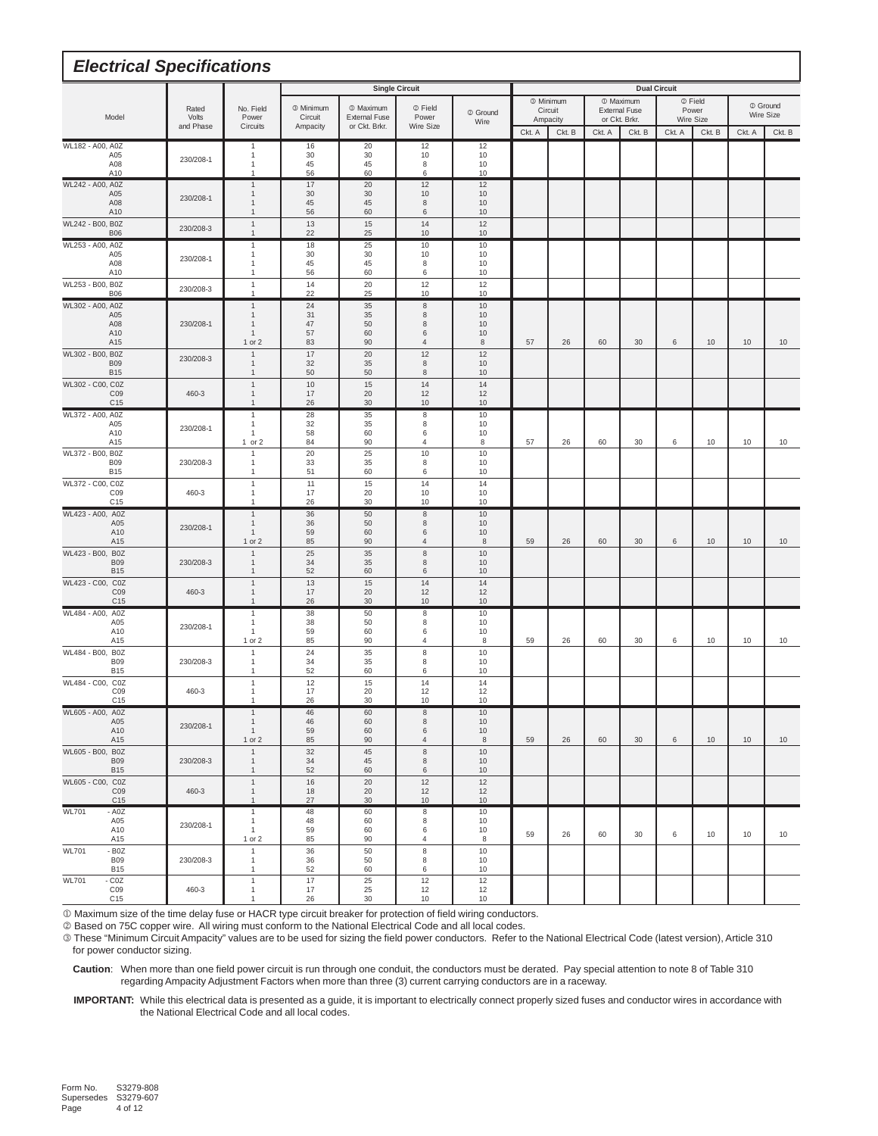| <b>Electrical Specifications</b>                             |                             |                                              |                                         |                                                               |                               |                      |        |                                             |        |                                                               |                     |                               |        |                       |
|--------------------------------------------------------------|-----------------------------|----------------------------------------------|-----------------------------------------|---------------------------------------------------------------|-------------------------------|----------------------|--------|---------------------------------------------|--------|---------------------------------------------------------------|---------------------|-------------------------------|--------|-----------------------|
|                                                              |                             |                                              |                                         |                                                               | <b>Single Circuit</b>         |                      |        |                                             |        |                                                               | <b>Dual Circuit</b> |                               |        |                       |
| Model                                                        | Rated<br>Volts<br>and Phase | No. Field<br>Power<br>Circuits               | <b>3 Minimum</b><br>Circuit<br>Ampacity | <sup>1</sup> Maximum<br><b>External Fuse</b><br>or Ckt. Brkr. | 2 Field<br>Power<br>Wire Size | 2 Ground<br>Wire     |        | <sup>3</sup> Minimum<br>Circuit<br>Ampacity |        | <sup>1</sup> Maximum<br><b>External Fuse</b><br>or Ckt. Brkr. |                     | 2 Field<br>Power<br>Wire Size |        | 2 Ground<br>Wire Size |
|                                                              |                             |                                              |                                         |                                                               |                               |                      | Ckt. A | Ckt. B                                      | Ckt. A | Ckt. B                                                        | Ckt. A              | Ckt. B                        | Ckt. A | Ckt. B                |
| WL182 - A00, A0Z<br>A05<br>A08<br>A10                        | 230/208-1                   | -1<br>1<br>1<br>1                            | 16<br>30<br>45<br>56                    | 20<br>30<br>45<br>60                                          | 12<br>10<br>8<br>6            | 12<br>10<br>10<br>10 |        |                                             |        |                                                               |                     |                               |        |                       |
| WL242 - A00, A0Z                                             |                             | $\mathbf{1}$                                 | 17                                      | 20                                                            | 12                            | 12                   |        |                                             |        |                                                               |                     |                               |        |                       |
| A05<br>A08<br>A10                                            | 230/208-1                   | $\mathbf{1}$<br>$\mathbf{1}$<br>$\mathbf{1}$ | 30<br>45<br>56                          | 30<br>45<br>60                                                | 10<br>8<br>6                  | 10<br>10<br>10       |        |                                             |        |                                                               |                     |                               |        |                       |
| WL242 - B00, B0Z<br><b>B06</b>                               | 230/208-3                   | $\mathbf{1}$<br>$\mathbf{1}$                 | 13<br>22                                | 15<br>25                                                      | 14<br>10                      | 12<br>10             |        |                                             |        |                                                               |                     |                               |        |                       |
| WL253 - A00, A0Z<br>A05                                      |                             | $\mathbf{1}$<br>1                            | 18<br>30                                | 25<br>30                                                      | 10<br>10                      | 10<br>10             |        |                                             |        |                                                               |                     |                               |        |                       |
| A08<br>A10                                                   | 230/208-1                   | 1<br>$\mathbf{1}$                            | 45<br>56                                | 45<br>60                                                      | 8<br>6                        | 10<br>10             |        |                                             |        |                                                               |                     |                               |        |                       |
| WL253 - B00, B0Z<br><b>B06</b>                               | 230/208-3                   | $\overline{1}$<br>1                          | 14<br>22                                | 20<br>25                                                      | 12<br>10                      | 12<br>10             |        |                                             |        |                                                               |                     |                               |        |                       |
| WL302 - A00, A0Z<br>A05                                      |                             | $\mathbf{1}$<br>$\mathbf{1}$                 | 24<br>31                                | 35<br>35                                                      | $\,$ 8 $\,$<br>8              | 10<br>10             |        |                                             |        |                                                               |                     |                               |        |                       |
| A08<br>A10                                                   | 230/208-1                   | $\mathbf{1}$<br>$\mathbf{1}$                 | 47<br>57                                | 50<br>60                                                      | 8<br>6                        | 10<br>10             |        |                                             |        |                                                               |                     |                               |        |                       |
| A15                                                          |                             | 1 or 2                                       | 83                                      | 90                                                            | 4                             | $\,$ 8               | 57     | 26                                          | 60     | 30                                                            | 6                   | 10                            | 10     | 10                    |
| WL302 - B00, B0Z<br><b>B09</b><br><b>B15</b>                 | 230/208-3                   | $\mathbf{1}$<br>$\mathbf{1}$<br>$\mathbf{1}$ | 17<br>32<br>50                          | 20<br>35<br>50                                                | 12<br>$\,$ 8 $\,$<br>8        | 12<br>10<br>10       |        |                                             |        |                                                               |                     |                               |        |                       |
| WL302 - C00, C0Z<br>C09<br>C <sub>15</sub>                   | 460-3                       | $\mathbf{1}$<br>$\mathbf{1}$<br>$\mathbf{1}$ | 10<br>17<br>26                          | 15<br>20<br>30                                                | 14<br>12<br>10                | 14<br>12<br>10       |        |                                             |        |                                                               |                     |                               |        |                       |
| WL372 - A00, A0Z<br>A05                                      |                             | $\mathbf{1}$<br>1                            | 28<br>32                                | 35<br>35                                                      | $\,$ 8 $\,$<br>8              | 10<br>10             |        |                                             |        |                                                               |                     |                               |        |                       |
| A10<br>A15                                                   | 230/208-1                   | 1<br>$1$ or $2$                              | 58<br>84                                | 60<br>90                                                      | 6<br>4                        | 10<br>8              | 57     | 26                                          | 60     | 30                                                            | 6                   | 10                            | 10     | 10                    |
| WL372 - B00, B0Z<br><b>B09</b><br><b>B15</b>                 | 230/208-3                   | $\mathbf{1}$<br>1<br>$\mathbf{1}$            | 20<br>33<br>51                          | 25<br>35<br>60                                                | 10<br>8<br>6                  | 10<br>10<br>10       |        |                                             |        |                                                               |                     |                               |        |                       |
| WL372 - C00, C0Z<br>CO9                                      | 460-3                       | $\mathbf{1}$<br>1                            | 11<br>17                                | 15<br>20                                                      | 14<br>10                      | 14<br>10             |        |                                             |        |                                                               |                     |                               |        |                       |
| C <sub>15</sub><br>WL423 - A00, A0Z                          |                             | 1<br>$\mathbf{1}$                            | 26<br>36                                | 30<br>50                                                      | 10<br>$\,$ 8 $\,$             | 10<br>10             |        |                                             |        |                                                               |                     |                               |        |                       |
| A05<br>A10<br>A15                                            | 230/208-1                   | $\mathbf{1}$<br>$\mathbf{1}$<br>1 or 2       | 36<br>59<br>85                          | 50<br>60<br>90                                                | 8<br>6<br>$\overline{4}$      | 10<br>10<br>8        | 59     | 26                                          | 60     | 30                                                            | 6                   | 10                            | 10     | 10                    |
| WL423 - B00, B0Z<br><b>B09</b>                               | 230/208-3                   | $\overline{1}$<br>$\mathbf{1}$               | 25<br>34                                | 35<br>35                                                      | $\,$ 8 $\,$<br>8              | 10<br>10             |        |                                             |        |                                                               |                     |                               |        |                       |
| <b>B15</b><br>WL423 - C00, C0Z                               |                             | $\mathbf{1}$<br>$\mathbf{1}$                 | 52<br>13                                | 60<br>15                                                      | 6<br>14                       | 10<br>14             |        |                                             |        |                                                               |                     |                               |        |                       |
| CO <sub>9</sub><br>C <sub>15</sub>                           | 460-3                       | $\mathbf{1}$<br>$\mathbf{1}$                 | 17<br>26                                | 20<br>30                                                      | 12<br>10                      | 12<br>10             |        |                                             |        |                                                               |                     |                               |        |                       |
| WL484 - A00, A0Z<br>A05                                      | 230/208-1                   | 1<br>1                                       | 38<br>38                                | 50<br>50                                                      | 8<br>8                        | 10<br>10             |        |                                             |        |                                                               |                     |                               |        |                       |
| A10<br>A15                                                   |                             | $\mathbf{1}$<br>1 or 2                       | 59<br>85                                | 60<br>90                                                      | 6<br>$\overline{4}$           | 10<br>8              | 59     | 26                                          | 60     | 30                                                            | 6                   | 10                            | 10     | 10                    |
| WL484 - B00,<br>B <sub>0</sub> Z<br><b>B09</b><br><b>B15</b> | 230/208-3                   | $\mathbf{1}$<br>$\mathbf{1}$<br>$\mathbf{1}$ | 24<br>34<br>52                          | 35<br>35<br>60                                                | $\,$ 8 $\,$<br>8<br>6         | 10<br>10<br>10       |        |                                             |        |                                                               |                     |                               |        |                       |
| WL484 - C00, C0Z<br>C <sub>09</sub>                          | 460-3                       | $\mathbf{1}$<br>$\mathbf{1}$                 | 12<br>17                                | 15<br>20                                                      | 14<br>12                      | 14<br>12             |        |                                             |        |                                                               |                     |                               |        |                       |
| C <sub>15</sub><br>WL605 - A00, A0Z                          |                             | $\mathbf{1}$<br>$\mathbf{1}$                 | 26<br>46                                | 30<br>60                                                      | 10<br>8                       | 10<br>10             |        |                                             |        |                                                               |                     |                               |        |                       |
| A05<br>A10<br>A15                                            | 230/208-1                   | $\mathbf{1}$<br>$\mathbf{1}$<br>1 or 2       | 46<br>59<br>85                          | 60<br>60<br>90                                                | 8<br>6<br>$\overline{4}$      | 10<br>10<br>8        | 59     | 26                                          | 60     | 30                                                            | 6                   | 10                            | 10     | 10                    |
| WL605 - B00, B0Z<br><b>B09</b><br><b>B15</b>                 | 230/208-3                   | $\mathbf{1}$<br>$\mathbf{1}$<br>$\mathbf{1}$ | 32<br>34<br>52                          | 45<br>45<br>60                                                | $\,$ 8 $\,$<br>8<br>6         | 10<br>10<br>10       |        |                                             |        |                                                               |                     |                               |        |                       |
| WL605 - C00, C0Z<br>CO9<br>C <sub>15</sub>                   | 460-3                       | $\mathbf{1}$<br>$\mathbf{1}$<br>$\mathbf{1}$ | 16<br>18<br>27                          | 20<br>20<br>$30\,$                                            | 12<br>12<br>10                | 12<br>12<br>10       |        |                                             |        |                                                               |                     |                               |        |                       |
| <b>WL701</b><br>$- A0Z$                                      |                             | $\mathbf{1}$                                 | 48                                      | 60                                                            | $\,$ 8                        | 10                   |        |                                             |        |                                                               |                     |                               |        |                       |
| A05<br>A10<br>A15                                            | 230/208-1                   | $\mathbf{1}$<br>$\mathbf{1}$<br>1 or 2       | 48<br>59<br>85                          | 60<br>60<br>90                                                | 8<br>6<br>4                   | 10<br>10<br>8        | 59     | 26                                          | 60     | 30                                                            | 6                   | 10                            | 10     | 10                    |
| $-$ BOZ<br><b>WL701</b><br><b>B09</b><br><b>B15</b>          | 230/208-3                   | $\mathbf{1}$<br>$\mathbf{1}$<br>$\mathbf{1}$ | 36<br>36<br>52                          | 50<br>50<br>60                                                | 8<br>8<br>6                   | 10<br>10<br>10       |        |                                             |        |                                                               |                     |                               |        |                       |
| $-COZ$<br><b>WL701</b><br>C09<br>C <sub>15</sub>             | 460-3                       | $\mathbf{1}$<br>$\mathbf{1}$<br>$\mathbf{1}$ | 17<br>17<br>26                          | $25\,$<br>25<br>30                                            | 12<br>12<br>10                | 12<br>12<br>10       |        |                                             |        |                                                               |                     |                               |        |                       |

Maximum size of the time delay fuse or HACR type circuit breaker for protection of field wiring conductors.

Based on 75C copper wire. All wiring must conform to the National Electrical Code and all local codes.

 These "Minimum Circuit Ampacity" values are to be used for sizing the field power conductors. Refer to the National Electrical Code (latest version), Article 310 for power conductor sizing.

 **Caution**: When more than one field power circuit is run through one conduit, the conductors must be derated. Pay special attention to note 8 of Table 310 regarding Ampacity Adjustment Factors when more than three (3) current carrying conductors are in a raceway.

 **IMPORTANT:** While this electrical data is presented as a guide, it is important to electrically connect properly sized fuses and conductor wires in accordance with the National Electrical Code and all local codes.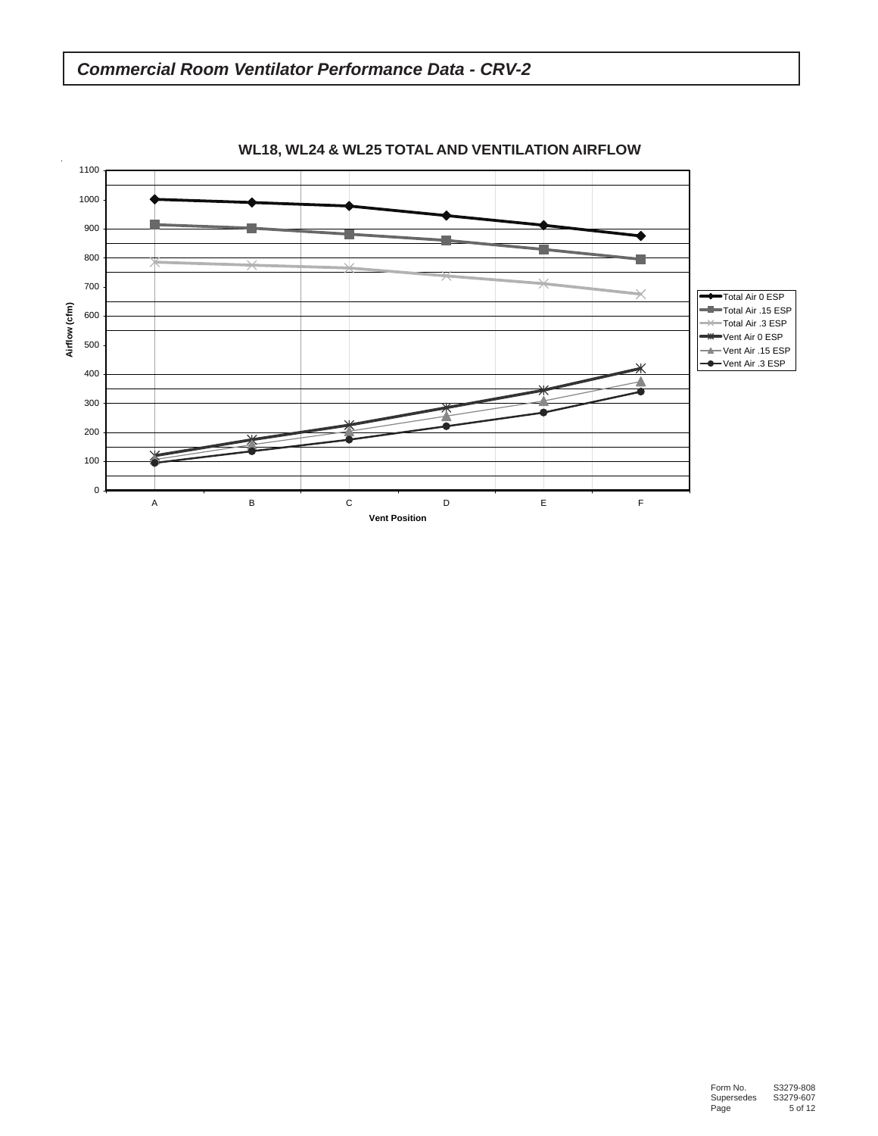

# *Commercial Room Ventilator Performance Data - CRV-2*

**WL18, WL24 & WL25 TOTAL AND VENTILATION AIRFLOW**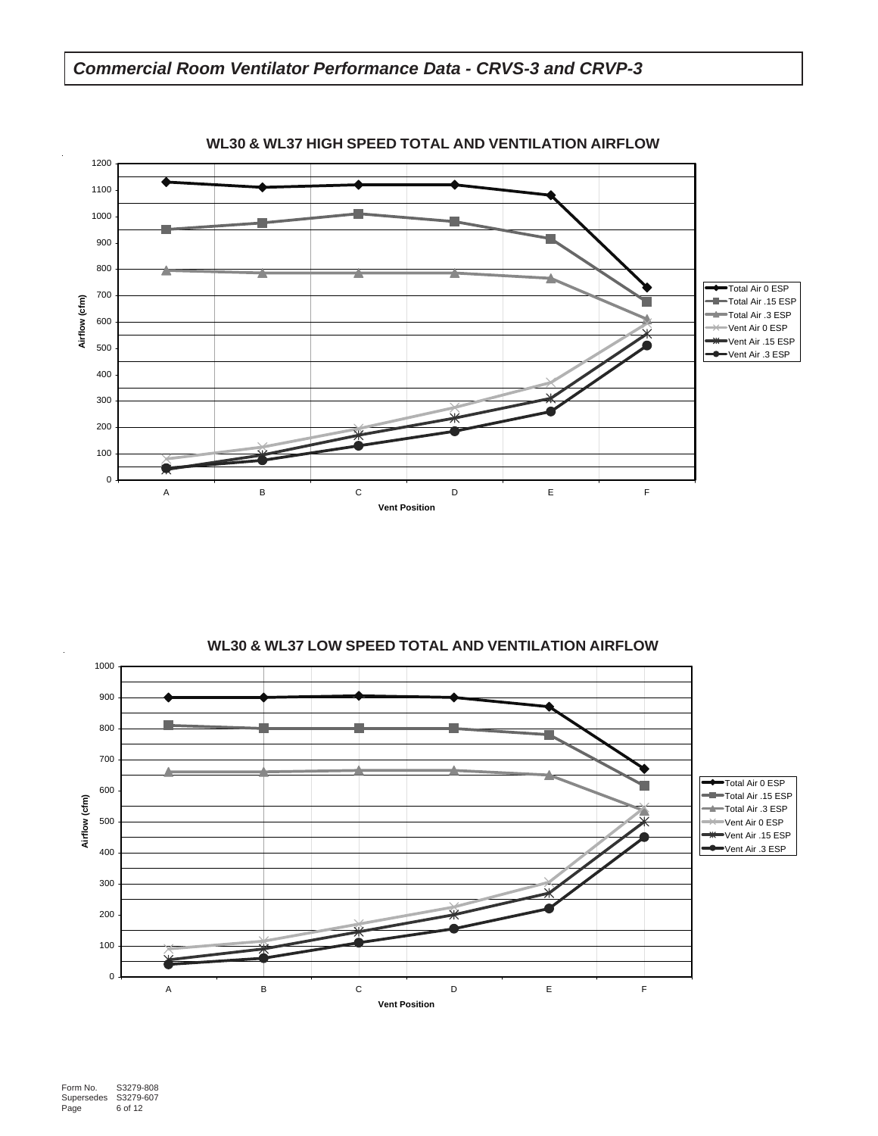



### **WL30 & WL37 HIGH SPEED TOTAL AND VENTILATION AIRFLOW**

**WL30 & WL37 LOW SPEED TOTAL AND VENTILATION AIRFLOW**

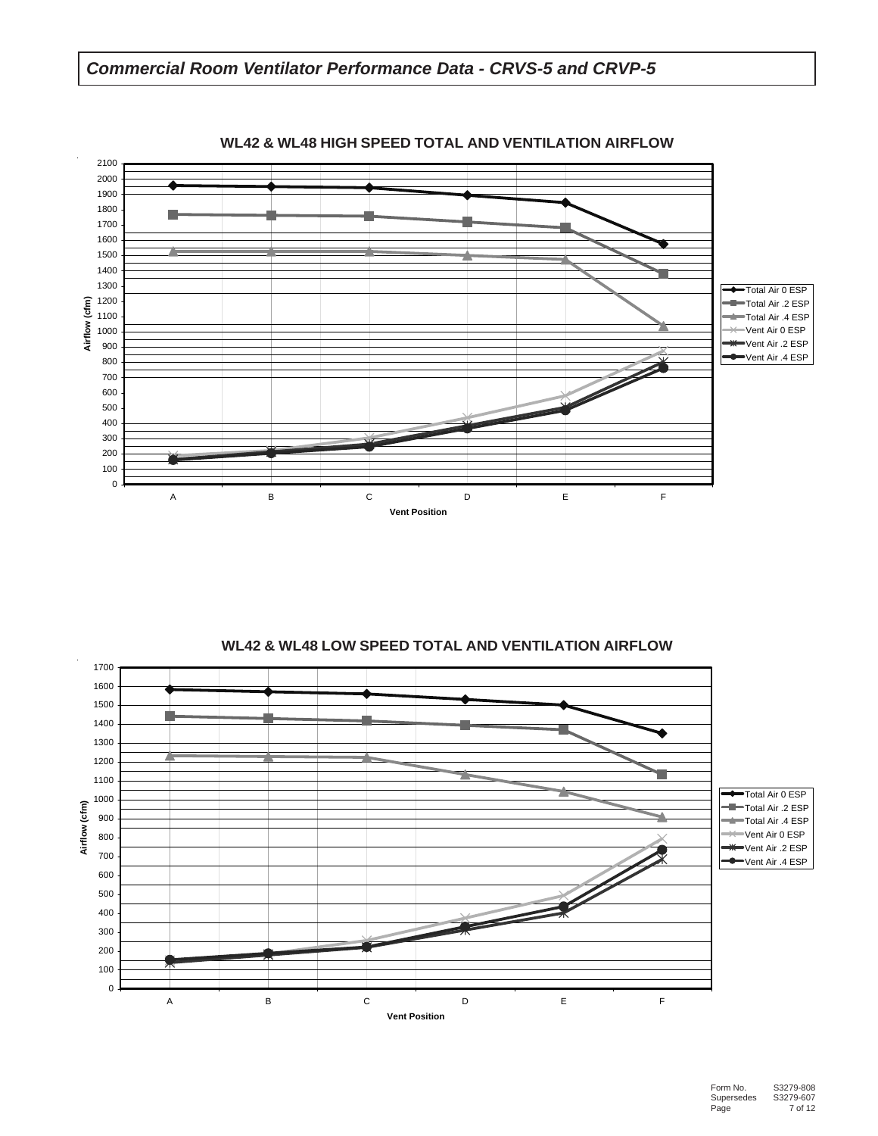## *Commercial Room Ventilator Performance Data - CRVS-5 and CRVP-5*



### **WL42 & WL48 HIGH SPEED TOTAL AND VENTILATION AIRFLOW**

**WL42 & WL48 LOW SPEED TOTAL AND VENTILATION AIRFLOW**

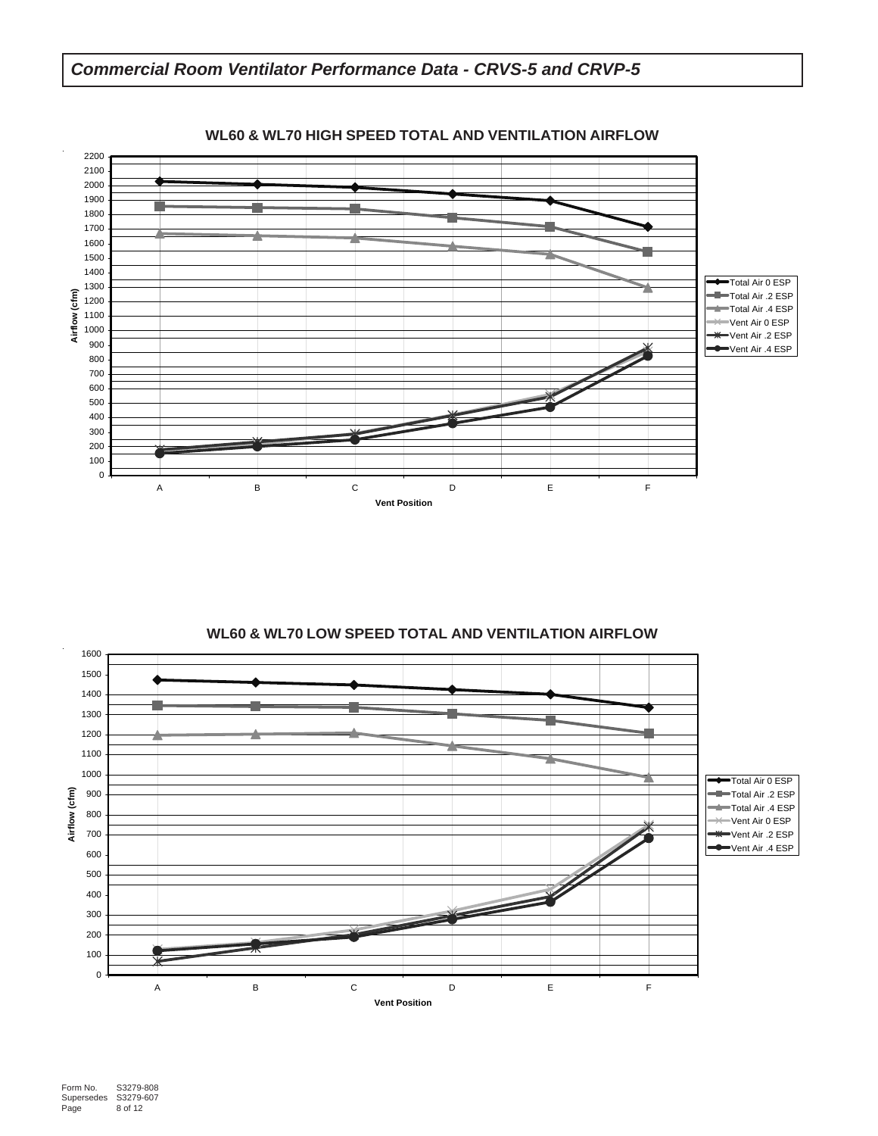

**WL60 & WL70 LOW SPEED TOTAL AND VENTILATION AIRFLOW**

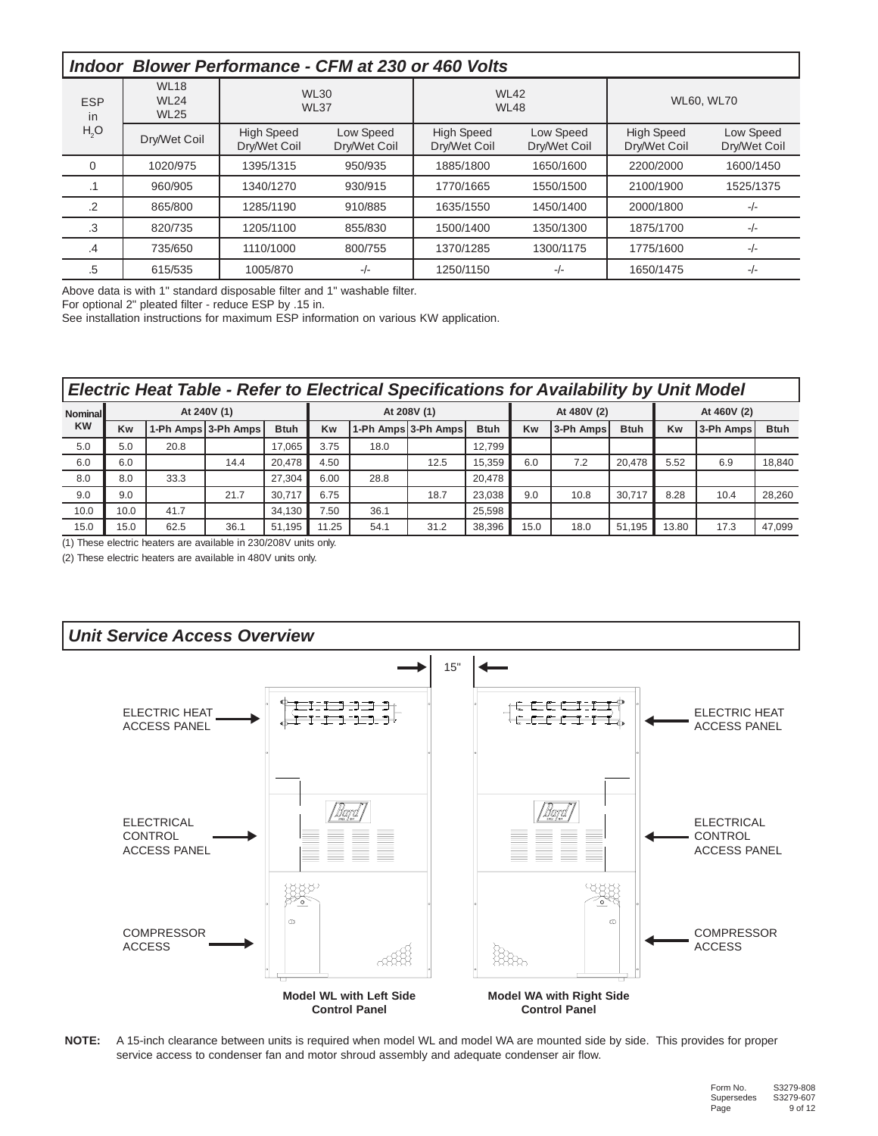| <i>Indoor</i>            |                                           | <b>Blower Performance - CFM at 230 or 460 Volts</b> |                           |                                   |                            |                                   |                           |
|--------------------------|-------------------------------------------|-----------------------------------------------------|---------------------------|-----------------------------------|----------------------------|-----------------------------------|---------------------------|
| <b>ESP</b><br>in         | <b>WL18</b><br><b>WL24</b><br><b>WL25</b> | <b>WL37</b>                                         | <b>WL30</b>               |                                   | <b>WL42</b><br><b>WL48</b> |                                   | <b>WL60, WL70</b>         |
| H <sub>2</sub> O         | Dry/Wet Coil                              | <b>High Speed</b><br>Dry/Wet Coil                   | Low Speed<br>Dry/Wet Coil | <b>High Speed</b><br>Dry/Wet Coil | Low Speed<br>Dry/Wet Coil  | <b>High Speed</b><br>Dry/Wet Coil | Low Speed<br>Dry/Wet Coil |
| $\Omega$                 | 1020/975                                  | 1395/1315                                           | 950/935                   | 1885/1800                         | 1650/1600                  | 2200/2000                         | 1600/1450                 |
| $\overline{\phantom{a}}$ | 960/905                                   | 1340/1270                                           | 930/915                   | 1770/1665                         | 1550/1500                  | 2100/1900                         | 1525/1375                 |
| .2                       | 865/800                                   | 1285/1190                                           | 910/885                   | 1635/1550                         | 1450/1400                  | 2000/1800                         | $-/-$                     |
| .3                       | 820/735                                   | 1205/1100                                           | 855/830                   | 1500/1400                         | 1350/1300                  | 1875/1700                         | $-/-$                     |
| .4                       | 735/650                                   | 1110/1000                                           | 800/755                   | 1370/1285                         | 1300/1175                  | 1775/1600                         | $-/-$                     |
| .5                       | 615/535                                   | 1005/870                                            | $-/-$                     | 1250/1150                         | -/-                        | 1650/1475                         | $-/-$                     |

Above data is with 1" standard disposable filter and 1" washable filter.

For optional 2" pleated filter - reduce ESP by .15 in.

See installation instructions for maximum ESP information on various KW application.

|                | <b>Electric Heat Table - Refer to Electrical Specifications for Availability by Unit Model</b> |      |                     |             |       |      |                     |             |           |             |             |             |           |             |  |
|----------------|------------------------------------------------------------------------------------------------|------|---------------------|-------------|-------|------|---------------------|-------------|-----------|-------------|-------------|-------------|-----------|-------------|--|
| <b>Nominal</b> |                                                                                                |      | At 240V (1)         |             |       |      | At 208V (1)         |             |           | At 480V (2) |             | At 460V (2) |           |             |  |
| <b>KW</b>      | Kw                                                                                             |      | 1-Ph Amps 3-Ph Amps | <b>Btuh</b> | Kw    |      | 1-Ph Amps 3-Ph Amps | <b>Btuh</b> | <b>Kw</b> | 3-Ph Amps   | <b>Btuh</b> | Kw          | 3-Ph Amps | <b>Btuh</b> |  |
| 5.0            | 5.0                                                                                            | 20.8 |                     | 17.065      | 3.75  | 18.0 |                     | 12.799      |           |             |             |             |           |             |  |
| 6.0            | 6.0                                                                                            |      | 14.4                | 20.478      | 4.50  |      | 12.5                | 15,359      | 6.0       | 7.2         | 20.478      | 5.52        | 6.9       | 18,840      |  |
| 8.0            | 8.0                                                                                            | 33.3 |                     | 27,304      | 6.00  | 28.8 |                     | 20,478      |           |             |             |             |           |             |  |
| 9.0            | 9.0                                                                                            |      | 21.7                | 30.717      | 6.75  |      | 18.7                | 23,038      | 9.0       | 10.8        | 30.717      | 8.28        | 10.4      | 28,260      |  |
| 10.0           | 10.0                                                                                           | 41.7 |                     | 34,130      | 7.50  | 36.1 |                     | 25.598      |           |             |             |             |           |             |  |
| 15.0           | 15.0                                                                                           | 62.5 | 36.1                | 51,195      | 11.25 | 54.1 | 31.2                | 38,396      | 15.0      | 18.0        | 51.195      | 13.80       | 17.3      | 47.099      |  |

 $(1)$  These electric heaters are available in 230/208V units only.

(2) These electric heaters are available in 480V units only.



**NOTE:** A 15-inch clearance between units is required when model WL and model WA are mounted side by side. This provides for proper service access to condenser fan and motor shroud assembly and adequate condenser air flow.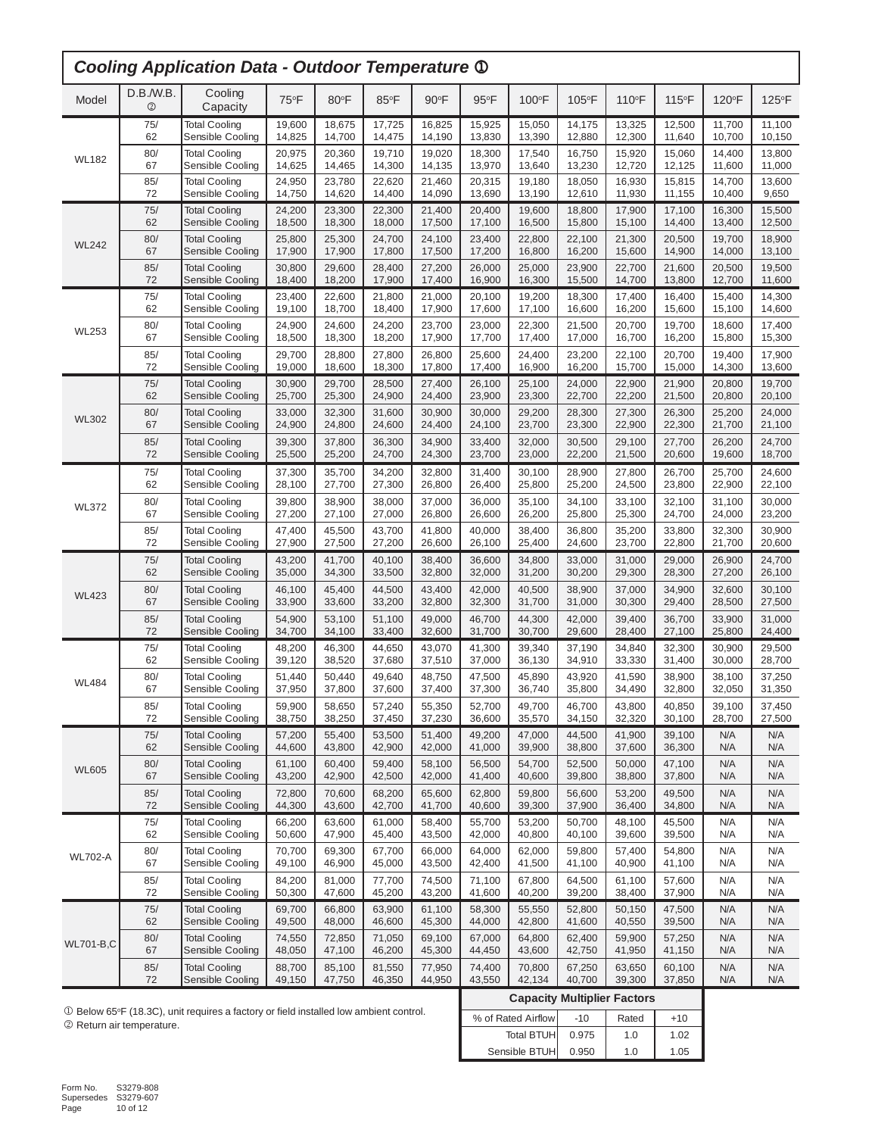| <b>Cooling Application Data - Outdoor Temperature 1</b> |                             |                      |        |        |        |                |                |        |        |                                    |        |        |                |
|---------------------------------------------------------|-----------------------------|----------------------|--------|--------|--------|----------------|----------------|--------|--------|------------------------------------|--------|--------|----------------|
| Model                                                   | D.B./W.B.<br>$^{\circledR}$ | Cooling<br>Capacity  | 75°F   | 80°F   | 85°F   | $90^{\circ}$ F | $95^{\circ}$ F | 100°F  | 105°F  | 110°F                              | 115°F  | 120°F  | $125^{\circ}F$ |
|                                                         | 75/                         | <b>Total Cooling</b> | 19,600 | 18,675 | 17,725 | 16,825         | 15,925         | 15,050 | 14,175 | 13,325                             | 12,500 | 11,700 | 11,100         |
|                                                         | 62                          | Sensible Cooling     | 14,825 | 14,700 | 14,475 | 14,190         | 13,830         | 13,390 | 12,880 | 12,300                             | 11,640 | 10,700 | 10,150         |
| <b>WL182</b>                                            | 80/                         | <b>Total Cooling</b> | 20,975 | 20,360 | 19,710 | 19,020         | 18,300         | 17,540 | 16,750 | 15,920                             | 15,060 | 14,400 | 13,800         |
|                                                         | 67                          | Sensible Cooling     | 14,625 | 14,465 | 14,300 | 14,135         | 13,970         | 13,640 | 13,230 | 12,720                             | 12,125 | 11,600 | 11,000         |
|                                                         | 85/                         | <b>Total Cooling</b> | 24,950 | 23,780 | 22,620 | 21,460         | 20,315         | 19,180 | 18,050 | 16,930                             | 15,815 | 14,700 | 13,600         |
|                                                         | 72                          | Sensible Cooling     | 14,750 | 14,620 | 14,400 | 14,090         | 13,690         | 13,190 | 12,610 | 11,930                             | 11,155 | 10,400 | 9,650          |
|                                                         | 75/                         | <b>Total Cooling</b> | 24,200 | 23,300 | 22.300 | 21,400         | 20,400         | 19,600 | 18,800 | 17,900                             | 17,100 | 16,300 | 15,500         |
|                                                         | 62                          | Sensible Cooling     | 18,500 | 18,300 | 18,000 | 17,500         | 17,100         | 16,500 | 15,800 | 15,100                             | 14,400 | 13,400 | 12,500         |
| <b>WL242</b>                                            | 80/                         | <b>Total Cooling</b> | 25,800 | 25,300 | 24,700 | 24,100         | 23,400         | 22,800 | 22,100 | 21,300                             | 20,500 | 19,700 | 18,900         |
|                                                         | 67                          | Sensible Cooling     | 17,900 | 17,900 | 17,800 | 17,500         | 17,200         | 16,800 | 16,200 | 15,600                             | 14,900 | 14,000 | 13,100         |
|                                                         | 85/                         | <b>Total Cooling</b> | 30,800 | 29,600 | 28,400 | 27,200         | 26,000         | 25,000 | 23,900 | 22,700                             | 21,600 | 20,500 | 19,500         |
|                                                         | 72                          | Sensible Cooling     | 18,400 | 18,200 | 17,900 | 17,400         | 16,900         | 16,300 | 15,500 | 14,700                             | 13,800 | 12,700 | 11,600         |
|                                                         | 75/                         | <b>Total Cooling</b> | 23,400 | 22,600 | 21,800 | 21,000         | 20,100         | 19,200 | 18,300 | 17,400                             | 16,400 | 15,400 | 14,300         |
|                                                         | 62                          | Sensible Cooling     | 19,100 | 18,700 | 18,400 | 17,900         | 17,600         | 17,100 | 16,600 | 16,200                             | 15,600 | 15,100 | 14,600         |
| <b>WL253</b>                                            | 80/                         | <b>Total Cooling</b> | 24,900 | 24,600 | 24,200 | 23,700         | 23,000         | 22,300 | 21,500 | 20,700                             | 19,700 | 18,600 | 17,400         |
|                                                         | 67                          | Sensible Cooling     | 18,500 | 18,300 | 18,200 | 17,900         | 17,700         | 17,400 | 17,000 | 16,700                             | 16,200 | 15,800 | 15,300         |
|                                                         | 85/                         | <b>Total Cooling</b> | 29,700 | 28,800 | 27,800 | 26,800         | 25,600         | 24,400 | 23,200 | 22,100                             | 20,700 | 19,400 | 17,900         |
|                                                         | 72                          | Sensible Cooling     | 19,000 | 18,600 | 18,300 | 17,800         | 17,400         | 16,900 | 16,200 | 15,700                             | 15,000 | 14,300 | 13,600         |
|                                                         | 75/                         | <b>Total Cooling</b> | 30,900 | 29,700 | 28,500 | 27,400         | 26,100         | 25,100 | 24,000 | 22,900                             | 21,900 | 20,800 | 19,700         |
|                                                         | 62                          | Sensible Cooling     | 25,700 | 25,300 | 24,900 | 24,400         | 23,900         | 23,300 | 22,700 | 22,200                             | 21,500 | 20,800 | 20,100         |
| <b>WL302</b>                                            | 80/                         | <b>Total Cooling</b> | 33,000 | 32,300 | 31,600 | 30,900         | 30,000         | 29,200 | 28,300 | 27,300                             | 26,300 | 25,200 | 24,000         |
|                                                         | 67                          | Sensible Cooling     | 24,900 | 24,800 | 24,600 | 24,400         | 24,100         | 23,700 | 23,300 | 22,900                             | 22,300 | 21,700 | 21,100         |
|                                                         | 85/                         | <b>Total Cooling</b> | 39,300 | 37,800 | 36,300 | 34,900         | 33,400         | 32,000 | 30,500 | 29,100                             | 27,700 | 26,200 | 24,700         |
|                                                         | 72                          | Sensible Cooling     | 25,500 | 25,200 | 24,700 | 24,300         | 23,700         | 23,000 | 22,200 | 21,500                             | 20,600 | 19,600 | 18,700         |
|                                                         | 75/                         | <b>Total Cooling</b> | 37,300 | 35,700 | 34,200 | 32,800         | 31,400         | 30,100 | 28,900 | 27,800                             | 26,700 | 25,700 | 24,600         |
|                                                         | 62                          | Sensible Cooling     | 28,100 | 27,700 | 27,300 | 26,800         | 26,400         | 25,800 | 25,200 | 24,500                             | 23,800 | 22,900 | 22,100         |
| <b>WL372</b>                                            | 80/                         | <b>Total Cooling</b> | 39,800 | 38,900 | 38,000 | 37,000         | 36,000         | 35,100 | 34,100 | 33,100                             | 32,100 | 31,100 | 30,000         |
|                                                         | 67                          | Sensible Cooling     | 27,200 | 27,100 | 27,000 | 26,800         | 26,600         | 26,200 | 25,800 | 25,300                             | 24,700 | 24,000 | 23,200         |
|                                                         | 85/                         | <b>Total Cooling</b> | 47,400 | 45,500 | 43,700 | 41,800         | 40,000         | 38,400 | 36,800 | 35,200                             | 33,800 | 32,300 | 30,900         |
|                                                         | 72                          | Sensible Cooling     | 27,900 | 27,500 | 27,200 | 26,600         | 26,100         | 25,400 | 24,600 | 23,700                             | 22,800 | 21,700 | 20,600         |
|                                                         | 75/                         | <b>Total Cooling</b> | 43,200 | 41,700 | 40,100 | 38,400         | 36,600         | 34,800 | 33,000 | 31,000                             | 29,000 | 26,900 | 24,700         |
|                                                         | 62                          | Sensible Cooling     | 35,000 | 34,300 | 33,500 | 32,800         | 32,000         | 31,200 | 30,200 | 29,300                             | 28,300 | 27,200 | 26,100         |
| <b>WL423</b>                                            | 80/                         | <b>Total Cooling</b> | 46,100 | 45,400 | 44,500 | 43,400         | 42,000         | 40,500 | 38,900 | 37,000                             | 34,900 | 32,600 | 30,100         |
|                                                         | 67                          | Sensible Cooling     | 33,900 | 33,600 | 33,200 | 32,800         | 32,300         | 31,700 | 31,000 | 30,300                             | 29,400 | 28,500 | 27,500         |
|                                                         | 85/                         | <b>Total Cooling</b> | 54,900 | 53,100 | 51,100 | 49.000         | 46,700         | 44,300 | 42,000 | 39,400                             | 36,700 | 33,900 | 31,000         |
|                                                         | 72                          | Sensible Cooling     | 34,700 | 34,100 | 33,400 | 32,600         | 31,700         | 30,700 | 29,600 | 28,400                             | 27,100 | 25,800 | 24,400         |
|                                                         | 75/                         | <b>Total Cooling</b> | 48,200 | 46,300 | 44,650 | 43,070         | 41,300         | 39,340 | 37,190 | 34,840                             | 32,300 | 30,900 | 29,500         |
|                                                         | 62                          | Sensible Cooling     | 39,120 | 38,520 | 37,680 | 37,510         | 37,000         | 36,130 | 34,910 | 33,330                             | 31,400 | 30,000 | 28,700         |
| <b>WL484</b>                                            | 80/                         | <b>Total Cooling</b> | 51,440 | 50,440 | 49,640 | 48.750         | 47,500         | 45,890 | 43,920 | 41,590                             | 38,900 | 38,100 | 37,250         |
|                                                         | 67                          | Sensible Cooling     | 37,950 | 37,800 | 37,600 | 37,400         | 37,300         | 36,740 | 35,800 | 34,490                             | 32,800 | 32,050 | 31,350         |
|                                                         | 85/                         | <b>Total Cooling</b> | 59,900 | 58,650 | 57,240 | 55,350         | 52,700         | 49,700 | 46,700 | 43,800                             | 40,850 | 39,100 | 37,450         |
|                                                         | 72                          | Sensible Cooling     | 38,750 | 38,250 | 37,450 | 37,230         | 36,600         | 35,570 | 34,150 | 32,320                             | 30,100 | 28,700 | 27,500         |
|                                                         | 75/                         | <b>Total Cooling</b> | 57,200 | 55,400 | 53,500 | 51.400         | 49,200         | 47,000 | 44,500 | 41,900                             | 39,100 | N/A    | N/A            |
|                                                         | 62                          | Sensible Cooling     | 44,600 | 43,800 | 42,900 | 42,000         | 41,000         | 39,900 | 38,800 | 37,600                             | 36,300 | N/A    | N/A            |
| <b>WL605</b>                                            | 80/                         | <b>Total Cooling</b> | 61,100 | 60,400 | 59,400 | 58,100         | 56,500         | 54,700 | 52,500 | 50,000                             | 47,100 | N/A    | N/A            |
|                                                         | 67                          | Sensible Cooling     | 43,200 | 42,900 | 42,500 | 42,000         | 41,400         | 40,600 | 39,800 | 38,800                             | 37,800 | N/A    | N/A            |
|                                                         | 85/                         | <b>Total Cooling</b> | 72,800 | 70,600 | 68,200 | 65,600         | 62,800         | 59,800 | 56,600 | 53,200                             | 49,500 | N/A    | N/A            |
|                                                         | 72                          | Sensible Cooling     | 44,300 | 43,600 | 42,700 | 41,700         | 40,600         | 39,300 | 37,900 | 36,400                             | 34,800 | N/A    | N/A            |
|                                                         | 75/                         | <b>Total Cooling</b> | 66,200 | 63,600 | 61,000 | 58,400         | 55,700         | 53,200 | 50,700 | 48,100                             | 45,500 | N/A    | N/A            |
|                                                         | 62                          | Sensible Cooling     | 50,600 | 47,900 | 45,400 | 43,500         | 42,000         | 40,800 | 40,100 | 39,600                             | 39,500 | N/A    | N/A            |
| <b>WL702-A</b>                                          | 80/                         | <b>Total Cooling</b> | 70,700 | 69,300 | 67,700 | 66,000         | 64,000         | 62,000 | 59,800 | 57,400                             | 54,800 | N/A    | N/A            |
|                                                         | 67                          | Sensible Cooling     | 49,100 | 46,900 | 45,000 | 43,500         | 42,400         | 41,500 | 41,100 | 40,900                             | 41,100 | N/A    | N/A            |
|                                                         | 85/                         | <b>Total Cooling</b> | 84,200 | 81,000 | 77,700 | 74,500         | 71,100         | 67,800 | 64,500 | 61,100                             | 57,600 | N/A    | N/A            |
|                                                         | 72                          | Sensible Cooling     | 50,300 | 47,600 | 45,200 | 43,200         | 41,600         | 40,200 | 39,200 | 38,400                             | 37,900 | N/A    | N/A            |
|                                                         | 75/                         | <b>Total Cooling</b> | 69,700 | 66,800 | 63,900 | 61,100         | 58,300         | 55,550 | 52,800 | 50,150                             | 47,500 | N/A    | N/A            |
|                                                         | 62                          | Sensible Cooling     | 49,500 | 48,000 | 46,600 | 45,300         | 44,000         | 42,800 | 41,600 | 40,550                             | 39,500 | N/A    | N/A            |
| <b>WL701-B,C</b>                                        | 80/                         | <b>Total Cooling</b> | 74,550 | 72,850 | 71,050 | 69,100         | 67,000         | 64,800 | 62,400 | 59,900                             | 57,250 | N/A    | N/A            |
|                                                         | 67                          | Sensible Cooling     | 48,050 | 47,100 | 46,200 | 45,300         | 44,450         | 43,600 | 42,750 | 41,950                             | 41,150 | N/A    | N/A            |
|                                                         | 85/                         | <b>Total Cooling</b> | 88,700 | 85,100 | 81,550 | 77,950         | 74,400         | 70,800 | 67,250 | 63,650                             | 60,100 | N/A    | N/A            |
|                                                         | 72                          | Sensible Cooling     | 49,150 | 47,750 | 46,350 | 44,950         | 43,550         | 42,134 | 40,700 | 39,300                             | 37,850 | N/A    | N/A            |
|                                                         |                             |                      |        |        |        |                |                |        |        | <b>Canacity Multiplier Factors</b> |        |        |                |

 $0$  Below 65°F (18.3C), unit requires a factory or field installed low ambient control. 2 Return air temperature.

| <b>Capacity Multiplier Factors</b> |       |                |       |  |  |  |  |  |  |  |  |
|------------------------------------|-------|----------------|-------|--|--|--|--|--|--|--|--|
| % of Rated Airflow                 | $-10$ | Rated          | $+10$ |  |  |  |  |  |  |  |  |
| Total BTUH                         | 0.975 | 1.0            | 1.02  |  |  |  |  |  |  |  |  |
| Sensible BTUH                      | 0.950 | 1 <sub>0</sub> | 1.05  |  |  |  |  |  |  |  |  |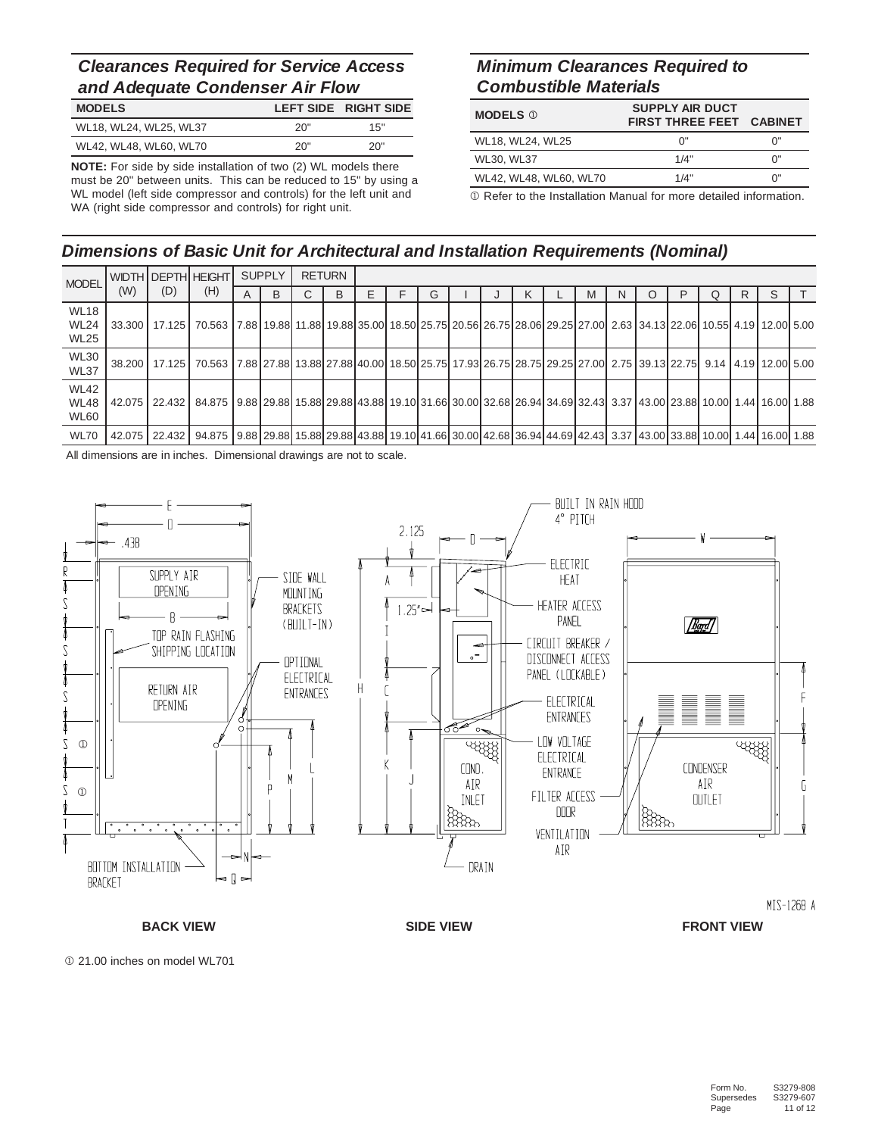# **Clearances Required for Service Access** and Adequate Condenser Air Flow

| <b>MODELS</b>          |     | LEFT SIDE RIGHT SIDE |
|------------------------|-----|----------------------|
| WL18, WL24, WL25, WL37 | 20" | 15"                  |
| WL42, WL48, WL60, WL70 | 20" | 20"                  |

**NOTE:** For side by side installation of two (2) WL models there must be 20" between units. This can be reduced to 15" by using a WL model (left side compressor and controls) for the left unit and WA (right side compressor and controls) for right unit.

## **Minimum Clearances Required to Combustible Materials**

| <b>MODELS</b> ①        | <b>SUPPLY AIR DUCT</b><br><b>FIRST THREE FEET CABINET</b> |    |
|------------------------|-----------------------------------------------------------|----|
| WL18, WL24, WL25       | በ"                                                        | ባ" |
| WL30, WL37             | 1/4"                                                      | ባ" |
| WL42, WL48, WL60, WL70 | 1/4"                                                      | ባ" |

1 Refer to the Installation Manual for more detailed information.

# **Dimensions of Basic Unit for Architectural and Installation Requirements (Nominal)**

| <b>MODEL</b>                              |     |     | WIDTH DEPTH HEIGHT                                                                                                                                                           |   | <b>SUPPLY</b> |        | <b>RETURN</b> |   |   |  |   |   |   |   |   |    |   |  |
|-------------------------------------------|-----|-----|------------------------------------------------------------------------------------------------------------------------------------------------------------------------------|---|---------------|--------|---------------|---|---|--|---|---|---|---|---|----|---|--|
|                                           | (W) | (D) | (H)                                                                                                                                                                          | A | B             | ⌒<br>Ü | B             | Е | G |  | K | M | N | C | P | R. | S |  |
| <b>WL18</b><br><b>WL24</b><br>WL25        |     |     | 33.300   17.125   70.563   7.88   19.88   11.88   19.88   35.00   18.50   25.75   20.56   26.75   28.06   29.25   27.00   2.63   34.13   22.06   10.55   4.19   12.00   5.00 |   |               |        |               |   |   |  |   |   |   |   |   |    |   |  |
| <b>WL30</b><br><b>WL37</b>                |     |     | 38.200   17.125   70.563   7.88   27.88   13.88   27.88   40.00   18.50   25.75   17.93   26.75   29.25   27.00   2.75   39.13   22.75   9.14   4.19   12.00   5.00          |   |               |        |               |   |   |  |   |   |   |   |   |    |   |  |
| <b>WL42</b><br><b>WL48</b><br><b>WL60</b> |     |     | 42.075 22.432 84.875 9.88 29.88 15.88 29.88 43.88 19.10 31.66 30.00 32.68 26.94 34.69 32.43 3.37 43.00 23.88 10.00 1.44 16.00 1.88                                           |   |               |        |               |   |   |  |   |   |   |   |   |    |   |  |
| <b>WL70</b>                               |     |     | 42.075 22.432 94.875 9.88 29.88 15.88 29.88 43.88 19.10 41.66 30.00 42.68 36.94 44.69 42.43 3.37 43.00 33.88 10.00 1.44 16.00 1.88                                           |   |               |        |               |   |   |  |   |   |   |   |   |    |   |  |

All dimensions are in inches. Dimensional drawings are not to scale.



**BACK VIEW SIDE VIEW FRONT VIEW**

 $0$  21.00 inches on model WL701